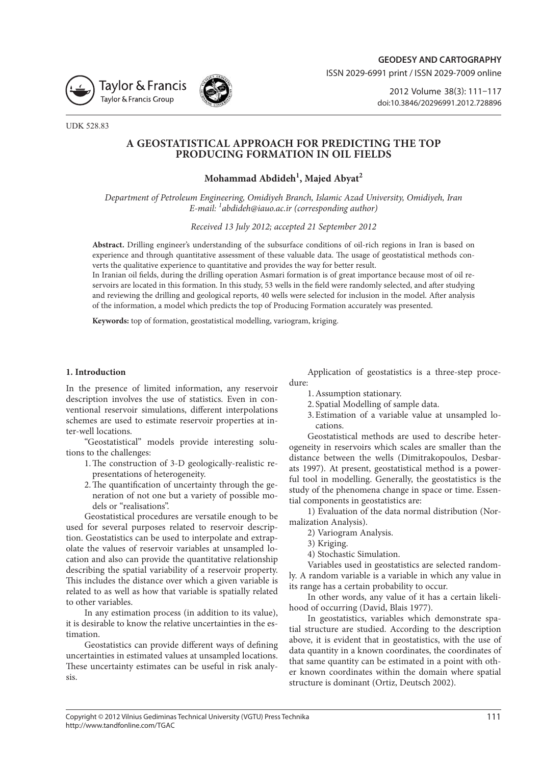**GEODESY AND CARTOGRAPHY**

2012 Volume 38(3): 111–117 [doi:10.3846/20296991.2012.728896](http://dx.doi.org/10.3846/20296991.2012.728896)

ISSN 2029-6991 print / ISSN 2029-7009 online





UDK 528.83

# **A GEOSTATISTICAL APPROACH FOR PREDICTING THE TOP PRODUCING FORMATION IN OIL FIELDS**

## **Mohammad Abdideh1 , Majed Abyat2**

*Department of Petroleum Engineering, Omidiyeh Branch, Islamic Azad University, Omidiyeh, Iran E-mail: <sup>1</sup> [abdideh@iauo.ac.ir](mailto:abdideh@iauo.ac.ir) (corresponding author)*

*Received 13 July 2012; accepted 21 September 2012*

**Abstract.** Drilling engineer's understanding of the subsurface conditions of oil-rich regions in Iran is based on experience and through quantitative assessment of these valuable data. The usage of geostatistical methods converts the qualitative experience to quantitative and provides the way for better result.

In Iranian oil fields, during the drilling operation Asmari formation is of great importance because most of oil reservoirs are located in this formation. In this study, 53 wells in the field were randomly selected, and after studying and reviewing the drilling and geological reports, 40 wells were selected for inclusion in the model. After analysis of the information, a model which predicts the top of Producing Formation accurately was presented.

**Keywords:** top of formation, geostatistical modelling, variogram, kriging.

## **1. Introduction**

In the presence of limited information, any reservoir description involves the use of statistics. Even in conventional reservoir simulations, different interpolations schemes are used to estimate reservoir properties at inter-well locations.

"Geostatistical" models provide interesting solutions to the challenges:

- 1.The construction of 3-D geologically-realistic representations of heterogeneity.
- 2.The quantification of uncertainty through the generation of not one but a variety of possible models or "realisations".

Geostatistical procedures are versatile enough to be used for several purposes related to reservoir description. Geostatistics can be used to interpolate and extrapolate the values of reservoir variables at unsampled location and also can provide the quantitative relationship describing the spatial variability of a reservoir property. This includes the distance over which a given variable is related to as well as how that variable is spatially related to other variables.

In any estimation process (in addition to its value), it is desirable to know the relative uncertainties in the estimation.

Geostatistics can provide different ways of defining uncertainties in estimated values at unsampled locations. These uncertainty estimates can be useful in risk analysis.

Application of geostatistics is a three-step procedure:

- 1.Assumption stationary.
- 2. Spatial Modelling of sample data.
- 3. Estimation of a variable value at unsampled locations.

Geostatistical methods are used to describe heterogeneity in reservoirs which scales are smaller than the distance between the wells (Dimitrakopoulos, Desbarats 1997). At present, geostatistical method is a powerful tool in modelling. Generally, the geostatistics is the study of the phenomena change in space or time. Essential components in geostatistics are:

1) Evaluation of the data normal distribution (Normalization Analysis).

- 2) Variogram Analysis.
- 3) Kriging.

4) Stochastic Simulation.

Variables used in geostatistics are selected randomly. A random variable is a variable in which any value in its range has a certain probability to occur.

In other words, any value of it has a certain likelihood of occurring (David, Blais 1977).

In geostatistics, variables which demonstrate spatial structure are studied. According to the description above, it is evident that in geostatistics, with the use of data quantity in a known coordinates, the coordinates of that same quantity can be estimated in a point with other known coordinates within the domain where spatial structure is dominant (Ortiz, Deutsch 2002).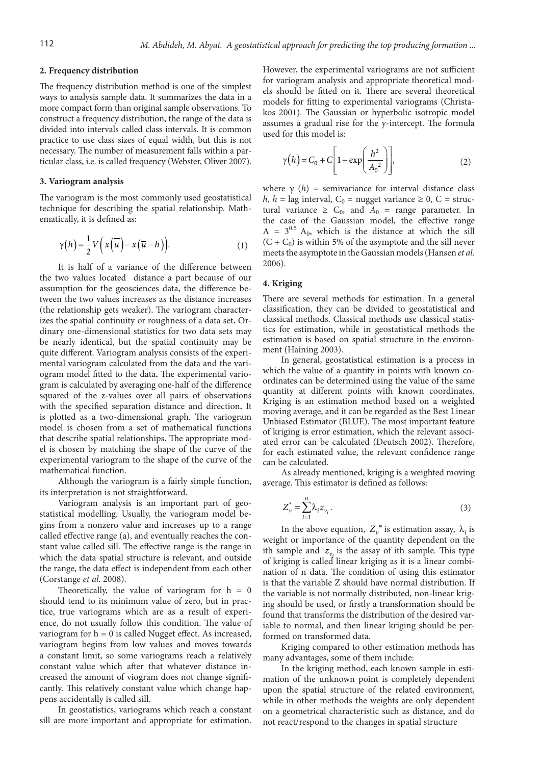## **2. Frequency distribution**

The frequency distribution method is one of the simplest ways to analysis sample data. It summarizes the data in a more compact form than original sample observations. To construct a frequency distribution, the range of the data is divided into intervals called class intervals. It is common practice to use class sizes of equal width, but this is not necessary. The number of measurement falls within a particular class, i.e. is called frequency (Webster, Oliver 2007).

## **3. Variogram analysis**

The variogram is the most commonly used geostatistical technique for describing the spatial relationship. Mathematically, it is defined as:

$$
\gamma(h) = \frac{1}{2}V\left(x\left(\overline{u}\right) - x\left(\overline{u} - h\right)\right).
$$
 (1)

It is half of a variance of the difference between the two values located distance a part because of our assumption for the geosciences data, the difference between the two values increases as the distance increases (the relationship gets weaker). The variogram characterizes the spatial continuity or roughness of a data set**.** Ordinary one-dimensional statistics for two data sets may be nearly identical, but the spatial continuity may be quite different. Variogram analysis consists of the experimental variogram calculated from the data and the variogram model fitted to the data**.** The experimental variogram is calculated by averaging one-half of the difference squared of the z-values over all pairs of observations with the specified separation distance and direction**.** It is plotted as a two-dimensional graph. The variogram model is chosen from a set of mathematical functions that describe spatial relationships**.** The appropriate model is chosen by matching the shape of the curve of the experimental variogram to the shape of the curve of the mathematical function.

Although the variogram is a fairly simple function, its interpretation is not straightforward.

Variogram analysis is an important part of geostatistical modelling. Usually, the variogram model begins from a nonzero value and increases up to a range called effective range (a), and eventually reaches the constant value called sill. The effective range is the range in which the data spatial structure is relevant, and outside the range, the data effect is independent from each other (Corstange *et al.* 2008).

Theoretically, the value of variogram for  $h = 0$ should tend to its minimum value of zero, but in practice, true variograms which are as a result of experience, do not usually follow this condition. The value of variogram for  $h = 0$  is called Nugget effect. As increased, variogram begins from low values and moves towards a constant limit, so some variograms reach a relatively constant value which after that whatever distance increased the amount of viogram does not change significantly. This relatively constant value which change happens accidentally is called sill.

In geostatistics, variograms which reach a constant sill are more important and appropriate for estimation. However, the experimental variograms are not sufficient for variogram analysis and appropriate theoretical models should be fitted on it. There are several theoretical models for fitting to experimental variograms (Christakos 2001). The Gaussian or hyperbolic isotropic model assumes a gradual rise for the y-intercept. The formula used for this model is:

$$
\gamma(h) = C_0 + C \left[ 1 - \exp\left(\frac{h^2}{A_0^2}\right) \right],\tag{2}
$$

where  $\gamma$  (*h*) = semivariance for interval distance class *h*, *h* = lag interval,  $C_0$  = nugget variance  $\geq 0$ ,  $C$  = structural variance  $\geq C_0$ , and  $A_0$  = range parameter. In the case of the Gaussian model, the effective range  $A = 3^{0.5} A_0$ , which is the distance at which the sill  $(C + C_0)$  is within 5% of the asymptote and the sill never meets the asymptote in the Gaussian models (Hansen *et al.* 2006).

## **4. Kriging**

There are several methods for estimation. In a general classification, they can be divided to geostatistical and classical methods. Classical methods use classical statistics for estimation, while in geostatistical methods the estimation is based on spatial structure in the environment (Haining 2003).

In general, geostatistical estimation is a process in which the value of a quantity in points with known coordinates can be determined using the value of the same quantity at different points with known coordinates. Kriging is an estimation method based on a weighted moving average, and it can be regarded as the Best Linear Unbiased Estimator (BLUE). The most important feature of kriging is error estimation, which the relevant associated error can be calculated (Deutsch 2002). Therefore, for each estimated value, the relevant confidence range can be calculated.

As already mentioned, kriging is a weighted moving average. This estimator is defined as follows:

$$
Z_{\nu}^* = \sum_{i=1}^n \lambda_i z_{\nu_i}.
$$
 (3)

In the above equation,  $Z_v^*$  is estimation assay,  $\lambda_i$  is weight or importance of the quantity dependent on the ith sample and  $z_{v_i}$  is the assay of ith sample. This type of kriging is called linear kriging as it is a linear combination of n data. The condition of using this estimator is that the variable Z should have normal distribution. If the variable is not normally distributed, non-linear kriging should be used, or firstly a transformation should be found that transforms the distribution of the desired variable to normal, and then linear kriging should be performed on transformed data.

Kriging compared to other estimation methods has many advantages, some of them include:

In the kriging method, each known sample in estimation of the unknown point is completely dependent upon the spatial structure of the related environment, while in other methods the weights are only dependent on a geometrical characteristic such as distance, and do not react/respond to the changes in spatial structure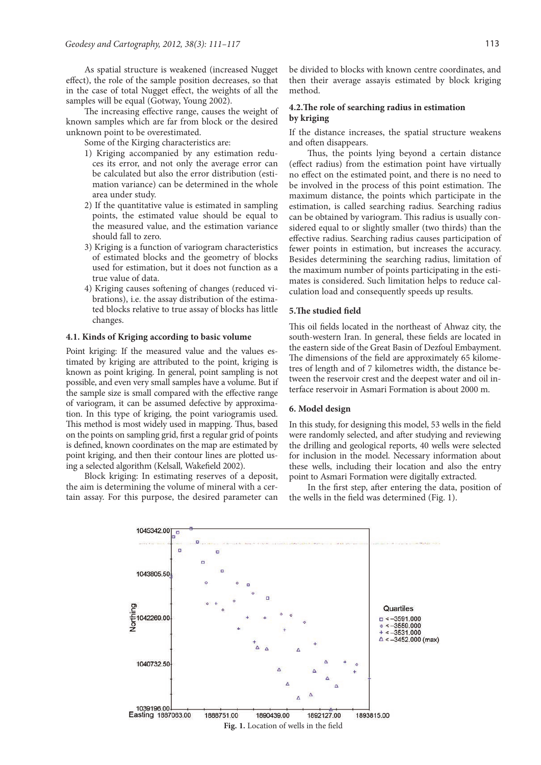As spatial structure is weakened (increased Nugget effect), the role of the sample position decreases, so that in the case of total Nugget effect, the weights of all the samples will be equal (Gotway, Young 2002).

The increasing effective range, causes the weight of known samples which are far from block or the desired unknown point to be overestimated.

Some of the Kirging characteristics are:

- 1) Kriging accompanied by any estimation reduces its error, and not only the average error can be calculated but also the error distribution (estimation variance) can be determined in the whole area under study.
- 2) If the quantitative value is estimated in sampling points, the estimated value should be equal to the measured value, and the estimation variance should fall to zero.
- 3) Kriging is a function of variogram characteristics of estimated blocks and the geometry of blocks used for estimation, but it does not function as a true value of data.
- 4) Kriging causes softening of changes (reduced vibrations), i.e. the assay distribution of the estimated blocks relative to true assay of blocks has little changes.

#### **4.1. Kinds of Kriging according to basic volume**

Point kriging: If the measured value and the values estimated by kriging are attributed to the point, kriging is known as point kriging. In general, point sampling is not possible, and even very small samples have a volume. But if the sample size is small compared with the effective range of variogram, it can be assumed defective by approximation. In this type of kriging, the point variogramis used. This method is most widely used in mapping. Thus, based on the points on sampling grid, first a regular grid of points is defined, known coordinates on the map are estimated by point kriging, and then their contour lines are plotted using a selected algorithm (Kelsall*,* Wakefield 2002).

Block kriging: In estimating reserves of a deposit, the aim is determining the volume of mineral with a certain assay. For this purpose, the desired parameter can be divided to blocks with known centre coordinates, and then their average assayis estimated by block kriging method.

## **4.2.The role of searching radius in estimation by kriging**

If the distance increases, the spatial structure weakens and often disappears.

Thus, the points lying beyond a certain distance (effect radius) from the estimation point have virtually no effect on the estimated point, and there is no need to be involved in the process of this point estimation. The maximum distance, the points which participate in the estimation, is called searching radius. Searching radius can be obtained by variogram. This radius is usually considered equal to or slightly smaller (two thirds) than the effective radius. Searching radius causes participation of fewer points in estimation, but increases the accuracy. Besides determining the searching radius, limitation of the maximum number of points participating in the estimates is considered. Such limitation helps to reduce calculation load and consequently speeds up results.

### **5.The studied field**

This oil fields located in the northeast of Ahwaz city, the south-western Iran. In general, these fields are located in the eastern side of the Great Basin of Dezfoul Embayment. The dimensions of the field are approximately 65 kilometres of length and of 7 kilometres width, the distance between the reservoir crest and the deepest water and oil interface reservoir in Asmari Formation is about 2000 m.

#### **6. Model design**

In this study, for designing this model, 53 wells in the field were randomly selected, and after studying and reviewing the drilling and geological reports, 40 wells were selected for inclusion in the model. Necessary information about these wells, including their location and also the entry point to Asmari Formation were digitally extracted.

In the first step, after entering the data, position of the wells in the field was determined (Fig. 1).

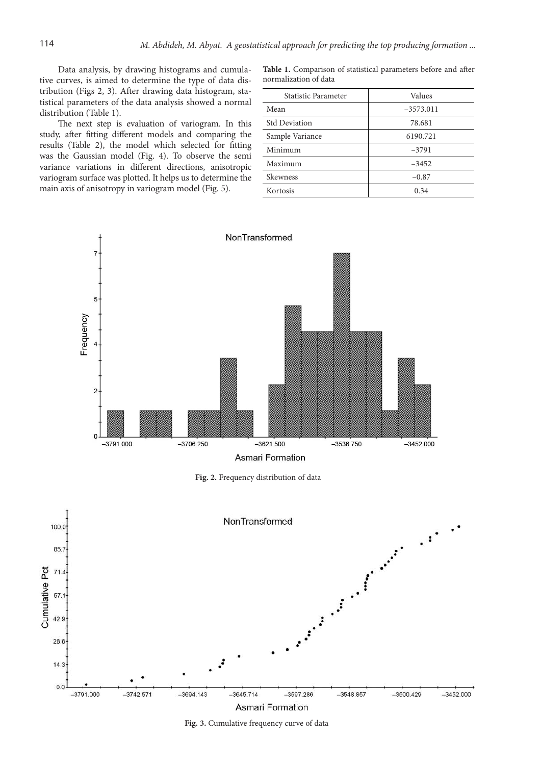Data analysis, by drawing histograms and cumulative curves, is aimed to determine the type of data distribution (Figs 2, 3). After drawing data histogram, statistical parameters of the data analysis showed a normal distribution (Table 1).

The next step is evaluation of variogram. In this study, after fitting different models and comparing the results (Table 2), the model which selected for fitting was the Gaussian model (Fig. 4). To observe the semi variance variations in different directions, anisotropic variogram surface was plotted. It helps us to determine the main axis of anisotropy in variogram model (Fig. 5).

| normalization of data |  |
|-----------------------|--|
|                       |  |
|                       |  |

| Statistic Parameter  | Values      |
|----------------------|-------------|
| Mean                 | $-3573.011$ |
| <b>Std Deviation</b> | 78.681      |
| Sample Variance      | 6190.721    |
| Minimum              | $-3791$     |
| Maximum              | $-3452$     |
| Skewness             | $-0.87$     |
| Kortosis             | 0.34        |



**Fig. 2.** Frequency distribution of data



**Fig. 3.** Cumulative frequency curve of data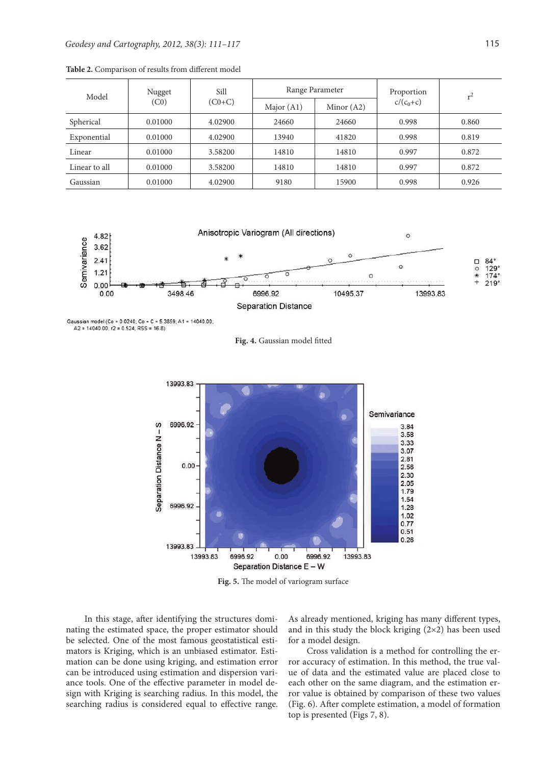| Model         | Nugget            | Sill     | Range Parameter |              | Proportion  | r <sup>2</sup> |
|---------------|-------------------|----------|-----------------|--------------|-------------|----------------|
|               | (C <sub>0</sub> ) | $(C0+C)$ | Major $(A1)$    | Minor $(A2)$ | $c/(c_0+c)$ |                |
| Spherical     | 0.01000           | 4.02900  | 24660           | 24660        | 0.998       | 0.860          |
| Exponential   | 0.01000           | 4.02900  | 13940           | 41820        | 0.998       | 0.819          |
| Linear        | 0.01000           | 3.58200  | 14810           | 14810        | 0.997       | 0.872          |
| Linear to all | 0.01000           | 3.58200  | 14810           | 14810        | 0.997       | 0.872          |
| Gaussian      | 0.01000           | 4.02900  | 9180            | 15900        | 0.998       | 0.926          |

**Table 2.** Comparison of results from different model



Gaussian model (Co = 0.0240; Co + C = 5.3859; A1 = 14040.00;  $A2 = 14040.00$ ;  $r2 = 0.524$ ; RSS = 16.8)

**Fig. 4.** Gaussian model fitted



**Fig. 5.** The model of variogram surface

In this stage, after identifying the structures dominating the estimated space, the proper estimator should be selected. One of the most famous geostatistical estimators is Kriging, which is an unbiased estimator. Estimation can be done using kriging, and estimation error can be introduced using estimation and dispersion variance tools. One of the effective parameter in model design with Kriging is searching radius. In this model, the searching radius is considered equal to effective range.

As already mentioned, kriging has many different types, and in this study the block kriging  $(2\times2)$  has been used for a model design.

Cross validation is a method for controlling the error accuracy of estimation. In this method, the true value of data and the estimated value are placed close to each other on the same diagram, and the estimation error value is obtained by comparison of these two values (Fig. 6). After complete estimation, a model of formation top is presented (Figs 7, 8).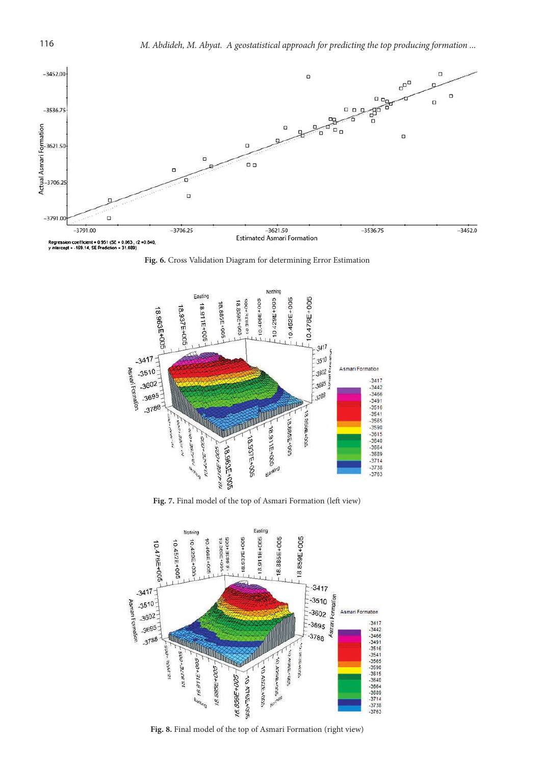

**Fig. 6.** Cross Validation Diagram for determining Error Estimation



**Fig. 7.** Final model of the top of Asmari Formation (left view)



**Fig. 8.** Final model of the top of Asmari Formation (right view)